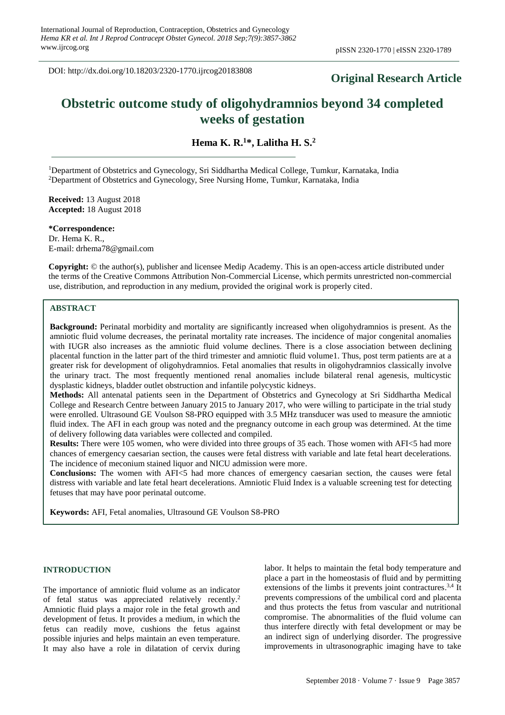# **Original Research Article**

# **Obstetric outcome study of oligohydramnios beyond 34 completed weeks of gestation**

**Hema K. R. <sup>1</sup>\*, Lalitha H. S. 2**

<sup>1</sup>Department of Obstetrics and Gynecology, Sri Siddhartha Medical College, Tumkur, Karnataka, India <sup>2</sup>Department of Obstetrics and Gynecology, Sree Nursing Home, Tumkur, Karnataka, India

**Received:** 13 August 2018 **Accepted:** 18 August 2018

**\*Correspondence:** Dr. Hema K. R., E-mail: drhema78@gmail.com

**Copyright:** © the author(s), publisher and licensee Medip Academy. This is an open-access article distributed under the terms of the Creative Commons Attribution Non-Commercial License, which permits unrestricted non-commercial use, distribution, and reproduction in any medium, provided the original work is properly cited.

## **ABSTRACT**

**Background:** Perinatal morbidity and mortality are significantly increased when oligohydramnios is present. As the amniotic fluid volume decreases, the perinatal mortality rate increases. The incidence of major congenital anomalies with IUGR also increases as the amniotic fluid volume declines. There is a close association between declining placental function in the latter part of the third trimester and amniotic fluid volume1. Thus, post term patients are at a greater risk for development of oligohydramnios. Fetal anomalies that results in oligohydramnios classically involve the urinary tract. The most frequently mentioned renal anomalies include bilateral renal agenesis, multicystic dysplastic kidneys, bladder outlet obstruction and infantile polycystic kidneys.

**Methods:** All antenatal patients seen in the Department of Obstetrics and Gynecology at Sri Siddhartha Medical College and Research Centre between January 2015 to January 2017, who were willing to participate in the trial study were enrolled. Ultrasound GE Voulson S8-PRO equipped with 3.5 MHz transducer was used to measure the amniotic fluid index. The AFI in each group was noted and the pregnancy outcome in each group was determined. At the time of delivery following data variables were collected and compiled.

**Results:** There were 105 women, who were divided into three groups of 35 each. Those women with AFI<5 had more chances of emergency caesarian section, the causes were fetal distress with variable and late fetal heart decelerations. The incidence of meconium stained liquor and NICU admission were more.

**Conclusions:** The women with AFI<5 had more chances of emergency caesarian section, the causes were fetal distress with variable and late fetal heart decelerations. Amniotic Fluid Index is a valuable screening test for detecting fetuses that may have poor perinatal outcome.

**Keywords:** AFI, Fetal anomalies, Ultrasound GE Voulson S8-PRO

## **INTRODUCTION**

The importance of amniotic fluid volume as an indicator of fetal status was appreciated relatively recently. 2 Amniotic fluid plays a major role in the fetal growth and development of fetus. It provides a medium, in which the fetus can readily move, cushions the fetus against possible injuries and helps maintain an even temperature. It may also have a role in dilatation of cervix during labor. It helps to maintain the fetal body temperature and place a part in the homeostasis of fluid and by permitting extensions of the limbs it prevents joint contractures.<sup>3,4</sup> It prevents compressions of the umbilical cord and placenta and thus protects the fetus from vascular and nutritional compromise. The abnormalities of the fluid volume can thus interfere directly with fetal development or may be an indirect sign of underlying disorder. The progressive improvements in ultrasonographic imaging have to take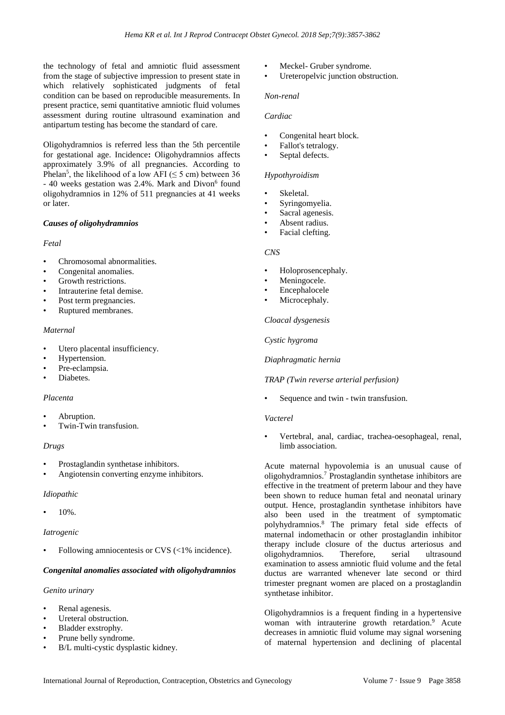the technology of fetal and amniotic fluid assessment from the stage of subjective impression to present state in which relatively sophisticated judgments of fetal condition can be based on reproducible measurements. In present practice, semi quantitative amniotic fluid volumes assessment during routine ultrasound examination and antipartum testing has become the standard of care.

Oligohydramnios is referred less than the 5th percentile for gestational age. Incidence**:** Oligohydramnios affects approximately 3.9% of all pregnancies. According to Phelan<sup>5</sup>, the likelihood of a low AFI ( $\leq$  5 cm) between 36 - 40 weeks gestation was 2.4%. Mark and Divon<sup>6</sup> found oligohydramnios in 12% of 511 pregnancies at 41 weeks or later.

## *Causes of oligohydramnios*

#### *Fetal*

- Chromosomal abnormalities.
- Congenital anomalies.
- Growth restrictions.
- Intrauterine fetal demise.
- Post term pregnancies.
- Ruptured membranes.

#### *Maternal*

- Utero placental insufficiency.
- Hypertension.
- Pre-eclampsia.
- Diabetes.

#### *Placenta*

- Abruption.
- Twin-Twin transfusion.

#### *Drugs*

- Prostaglandin synthetase inhibitors.
- Angiotensin converting enzyme inhibitors.

## *Idiopathic*

• 10%.

#### *Iatrogenic*

Following amniocentesis or CVS  $\left($  < 1% incidence).

## *Congenital anomalies associated with oligohydramnios*

#### *Genito urinary*

- Renal agenesis.
- Ureteral obstruction.
- Bladder exstrophy.
- Prune belly syndrome.
- B/L multi-cystic dysplastic kidney.
- Meckel- Gruber syndrome.
- Ureteropelvic junction obstruction.

#### *Non-renal*

#### *Cardiac*

- Congenital heart block.
- Fallot's tetralogy.
- Septal defects.

## *Hypothyroidism*

- Skeletal.
- Syringomyelia.
- Sacral agenesis.
- Absent radius.
- Facial clefting.

#### *CNS*

- Holoprosencephaly.
- Meningocele.
- **Encephalocele**
- Microcephaly.

## *Cloacal dysgenesis*

*Cystic hygroma*

*Diaphragmatic hernia*

*TRAP (Twin reverse arterial perfusion)*

Sequence and twin - twin transfusion.

#### *Vacterel*

• Vertebral, anal, cardiac, trachea-oesophageal, renal, limb association.

Acute maternal hypovolemia is an unusual cause of oligohydramnios. <sup>7</sup> Prostaglandin synthetase inhibitors are effective in the treatment of preterm labour and they have been shown to reduce human fetal and neonatal urinary output. Hence, prostaglandin synthetase inhibitors have also been used in the treatment of symptomatic polyhydramnios. <sup>8</sup> The primary fetal side effects of maternal indomethacin or other prostaglandin inhibitor therapy include closure of the ductus arteriosus and oligohydramnios. Therefore, serial ultrasound examination to assess amniotic fluid volume and the fetal ductus are warranted whenever late second or third trimester pregnant women are placed on a prostaglandin synthetase inhibitor.

Oligohydramnios is a frequent finding in a hypertensive woman with intrauterine growth retardation. <sup>9</sup> Acute decreases in amniotic fluid volume may signal worsening of maternal hypertension and declining of placental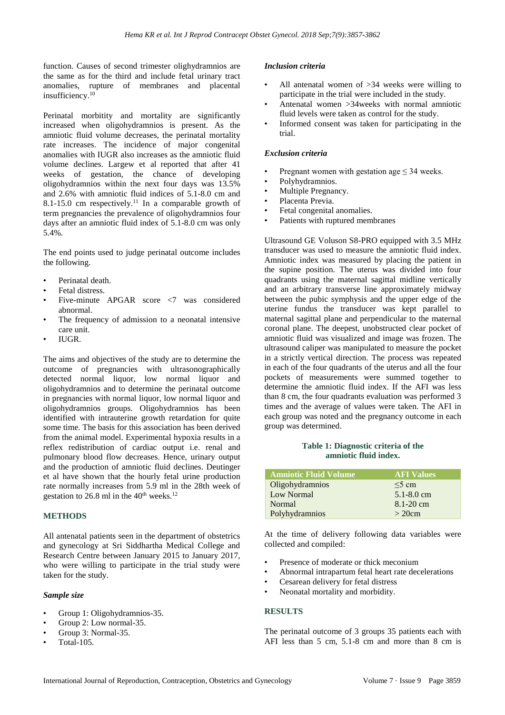function. Causes of second trimester olighydramnios are the same as for the third and include fetal urinary tract anomalies, rupture of membranes and placental insufficiency. 10

Perinatal morbitity and mortality are significantly increased when oligohydramnios is present. As the amniotic fluid volume decreases, the perinatal mortality rate increases. The incidence of major congenital anomalies with IUGR also increases as the amniotic fluid volume declines. Largew et al reported that after 41 weeks of gestation, the chance of developing oligohydramnios within the next four days was 13.5% and 2.6% with amniotic fluid indices of 5.1-8.0 cm and 8.1-15.0 cm respectively.<sup>11</sup> In a comparable growth of term pregnancies the prevalence of oligohydramnios four days after an amniotic fluid index of 5.1-8.0 cm was only 5.4%.

The end points used to judge perinatal outcome includes the following.

- Perinatal death.
- Fetal distress.
- Five-minute APGAR score <7 was considered abnormal.
- The frequency of admission to a neonatal intensive care unit.
- IUGR.

The aims and objectives of the study are to determine the outcome of pregnancies with ultrasonographically detected normal liquor, low normal liquor and oligohydramnios and to determine the perinatal outcome in pregnancies with normal liquor, low normal liquor and oligohydramnios groups. Oligohydramnios has been identified with intrauterine growth retardation for quite some time. The basis for this association has been derived from the animal model. Experimental hypoxia results in a reflex redistribution of cardiac output i.e. renal and pulmonary blood flow decreases. Hence, urinary output and the production of amniotic fluid declines. Deutinger et al have shown that the hourly fetal urine production rate normally increases from 5.9 ml in the 28th week of gestation to  $26.8$  ml in the  $40<sup>th</sup>$  weeks.<sup>12</sup>

## **METHODS**

All antenatal patients seen in the department of obstetrics and gynecology at Sri Siddhartha Medical College and Research Centre between January 2015 to January 2017, who were willing to participate in the trial study were taken for the study.

## *Sample size*

- Group 1: Oligohydramnios-35.
- Group 2: Low normal-35.
- Group 3: Normal-35.
- Total-105.

#### *Inclusion criteria*

- All antenatal women of  $>34$  weeks were willing to participate in the trial were included in the study.
- Antenatal women >34weeks with normal amniotic fluid levels were taken as control for the study.
- Informed consent was taken for participating in the trial.

## *Exclusion criteria*

- Pregnant women with gestation age  $\leq$  34 weeks.
- Polyhydramnios.
- Multiple Pregnancy.
- Placenta Previa.
- Fetal congenital anomalies.
- Patients with ruptured membranes

Ultrasound GE Voluson S8-PRO equipped with 3.5 MHz transducer was used to measure the amniotic fluid index. Amniotic index was measured by placing the patient in the supine position. The uterus was divided into four quadrants using the maternal sagittal midline vertically and an arbitrary transverse line approximately midway between the pubic symphysis and the upper edge of the uterine fundus the transducer was kept parallel to maternal sagittal plane and perpendicular to the maternal coronal plane. The deepest, unobstructed clear pocket of amniotic fluid was visualized and image was frozen. The ultrasound caliper was manipulated to measure the pocket in a strictly vertical direction. The process was repeated in each of the four quadrants of the uterus and all the four pockets of measurements were summed together to determine the amniotic fluid index. If the AFI was less than 8 cm, the four quadrants evaluation was performed 3 times and the average of values were taken. The AFI in each group was noted and the pregnancy outcome in each group was determined.

**Table 1: Diagnostic criteria of the amniotic fluid index.**

| <b>Amniotic Fluid Volume</b> | <b>AFI</b> Values |
|------------------------------|-------------------|
| Oligohydramnios              | $\leq$ cm         |
| Low Normal                   | $5.1 - 8.0$ cm    |
| Normal                       | $8.1 - 20$ cm     |
| Polyhydramnios               | >20cm             |

At the time of delivery following data variables were collected and compiled:

- Presence of moderate or thick meconium
- Abnormal intrapartum fetal heart rate decelerations
- Cesarean delivery for fetal distress
- Neonatal mortality and morbidity.

## **RESULTS**

The perinatal outcome of 3 groups 35 patients each with AFI less than 5 cm, 5.1-8 cm and more than 8 cm is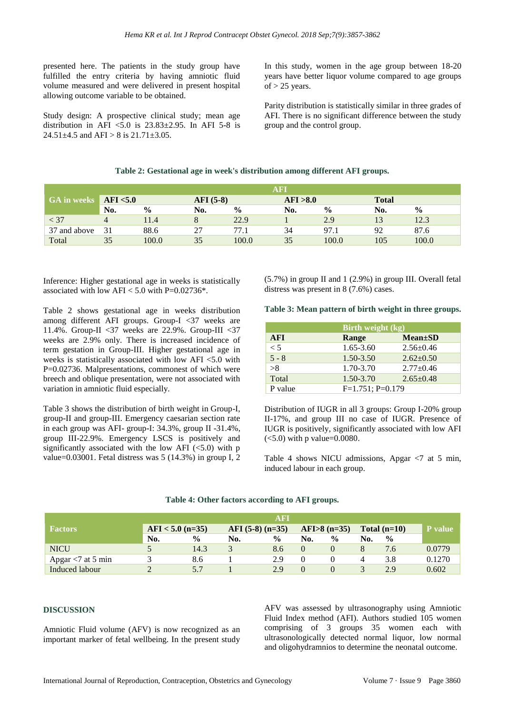presented here. The patients in the study group have fulfilled the entry criteria by having amniotic fluid volume measured and were delivered in present hospital allowing outcome variable to be obtained.

Study design: A prospective clinical study; mean age distribution in AFI  $\langle 5.0 \rangle$  is 23.83±2.95. In AFI 5-8 is 24.51 $\pm$ 4.5 and AFI > 8 is 21.71 $\pm$ 3.05.

In this study, women in the age group between 18-20 years have better liquor volume compared to age groups of  $>$  25 years.

Parity distribution is statistically similar in three grades of AFI. There is no significant difference between the study group and the control group.

#### **Table 2: Gestational age in week's distribution among different AFI groups.**

|                    | AFI       |               |                  |               |           |               |              |               |
|--------------------|-----------|---------------|------------------|---------------|-----------|---------------|--------------|---------------|
| <b>GA</b> in weeks | AFI < 5.0 |               | <b>AFI</b> (5-8) |               | AFI > 8.0 |               | <b>Total</b> |               |
|                    | No.       | $\frac{6}{6}$ | No.              | $\frac{6}{6}$ | No.       | $\frac{0}{0}$ | No.          | $\frac{0}{0}$ |
| < 37               | 4         | 11.4          |                  | 22.9          |           | 2.9           | 13           | 12.3          |
| 37 and above       |           | 88.6          |                  | 77.1          | 34        | 97.1          | 92           | 87.6          |
| Total              | 35        | 100.0         | 35               | 100.0         | 35        | 100.0         | 105          | 100.0         |

Inference: Higher gestational age in weeks is statistically associated with low AFI <  $5.0$  with P=0.02736\*.

Table 2 shows gestational age in weeks distribution among different AFI groups. Group-I <37 weeks are 11.4%. Group-II <37 weeks are 22.9%. Group-III <37 weeks are 2.9% only. There is increased incidence of term gestation in Group-III. Higher gestational age in weeks is statistically associated with low AFI <5.0 with P=0.02736. Malpresentations, commonest of which were breech and oblique presentation, were not associated with variation in amniotic fluid especially.

Table 3 shows the distribution of birth weight in Group-I, group-II and group-III. Emergency caesarian section rate in each group was AFI- group-I: 34.3%, group II -31.4%, group III-22.9%. Emergency LSCS is positively and significantly associated with the low AFI  $\langle$ <5.0) with p value=0.03001. Fetal distress was 5 (14.3%) in group I, 2

(5.7%) in group II and 1 (2.9%) in group III. Overall fetal distress was present in 8 (7.6%) cases.

#### **Table 3: Mean pattern of birth weight in three groups.**

|            |                    | Birth weight (kg) |  |  |  |  |  |
|------------|--------------------|-------------------|--|--|--|--|--|
| <b>AFI</b> | Range              | $Mean \pm SD$     |  |  |  |  |  |
| $\leq 5$   | 1.65-3.60          | $2.56 \pm 0.46$   |  |  |  |  |  |
| $5 - 8$    | 1.50-3.50          | $2.62 \pm 0.50$   |  |  |  |  |  |
| > 8        | 1.70-3.70          | $2.77 \pm 0.46$   |  |  |  |  |  |
| Total      | 1.50-3.70          | $2.65 \pm 0.48$   |  |  |  |  |  |
| P value    | $F=1.751; P=0.179$ |                   |  |  |  |  |  |

Distribution of IUGR in all 3 groups: Group I-20% group II-17%, and group III no case of IUGR. Presence of IUGR is positively, significantly associated with low AFI  $(<5.0)$  with p value=0.0080.

Table 4 shows NICU admissions, Apgar <7 at 5 min, induced labour in each group.

|                      | <b>AFI</b>         |               |                      |               |                  |               |                |               |                |
|----------------------|--------------------|---------------|----------------------|---------------|------------------|---------------|----------------|---------------|----------------|
| <b>Factors</b>       | $AFI < 5.0$ (n=35) |               | AFI $(5-8)$ $(n=35)$ |               | $AFI > 8 (n=35)$ |               | Total $(n=10)$ |               | <b>P</b> value |
|                      | No.                | $\frac{0}{0}$ | No.                  | $\frac{0}{0}$ | No.              | $\frac{6}{9}$ | No.            | $\frac{6}{9}$ |                |
| <b>NICU</b>          |                    | 14.3          |                      | 8.6           |                  | $\theta$      |                | 7.6           | 0.0779         |
| Apgar $<$ 7 at 5 min |                    | 8.6           |                      | 2.9           |                  |               |                | 3.8           | 0.1270         |
| Induced labour       |                    | 5.7           |                      | 2.9           |                  | $\Omega$      |                | 2.9           | 0.602          |

## **Table 4: Other factors according to AFI groups.**

## **DISCUSSION**

Amniotic Fluid volume (AFV) is now recognized as an important marker of fetal wellbeing. In the present study

AFV was assessed by ultrasonography using Amniotic Fluid Index method (AFI). Authors studied 105 women comprising of 3 groups 35 women each with ultrasonologically detected normal liquor, low normal and oligohydramnios to determine the neonatal outcome.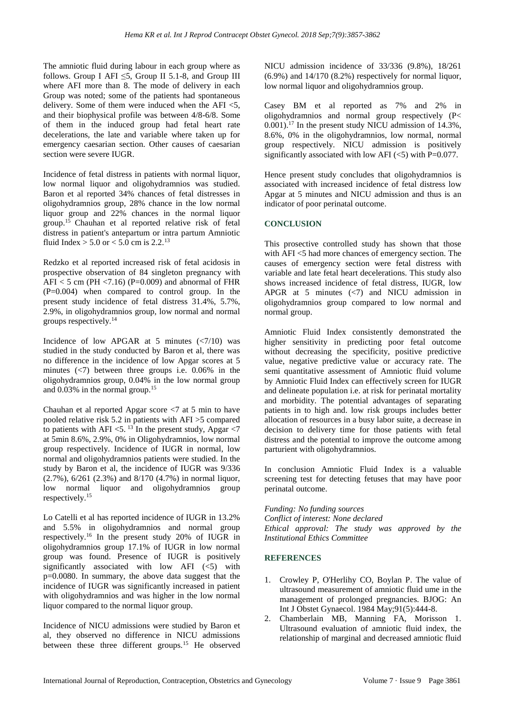The amniotic fluid during labour in each group where as follows. Group I AFI  $\leq$ 5, Group II 5.1-8, and Group III where AFI more than 8. The mode of delivery in each Group was noted; some of the patients had spontaneous delivery. Some of them were induced when the AFI  $<$ 5, and their biophysical profile was between 4/8-6/8. Some of them in the induced group had fetal heart rate decelerations, the late and variable where taken up for emergency caesarian section. Other causes of caesarian section were severe IUGR.

Incidence of fetal distress in patients with normal liquor, low normal liquor and oligohydramnios was studied. Baron et al reported 34% chances of fetal distresses in oligohydramnios group, 28% chance in the low normal liquor group and 22% chances in the normal liquor group.<sup>15</sup> Chauhan et al reported relative risk of fetal distress in patient's antepartum or intra partum Amniotic fluid Index  $> 5.0$  or  $< 5.0$  cm is 2.2.<sup>13</sup>

Redzko et al reported increased risk of fetal acidosis in prospective observation of 84 singleton pregnancy with AFI  $<$  5 cm (PH  $<$  7.16) (P=0.009) and abnormal of FHR (P=0.004) when compared to control group. In the present study incidence of fetal distress 31.4%, 5.7%, 2.9%, in oligohydramnios group, low normal and normal groups respectively.<sup>14</sup>

Incidence of low APGAR at 5 minutes  $\left(\frac{z}{10}\right)$  was studied in the study conducted by Baron et al, there was no difference in the incidence of low Apgar scores at 5 minutes  $\langle \langle 7 \rangle$  between three groups i.e. 0.06% in the oligohydramnios group, 0.04% in the low normal group and  $0.03\%$  in the normal group.<sup>15</sup>

Chauhan et al reported Apgar score <7 at 5 min to have pooled relative risk 5.2 in patients with AFI >5 compared to patients with AFI <5.  $^{13}$  In the present study, Apgar <7 at 5min 8.6%, 2.9%, 0% in Oligohydramnios, low normal group respectively. Incidence of IUGR in normal, low normal and oligohydramnios patients were studied. In the study by Baron et al, the incidence of IUGR was 9/336 (2.7%), 6/261 (2.3%) and 8/170 (4.7%) in normal liquor, low normal liquor and oligohydramnios group respectively.<sup>15</sup>

Lo Catelli et al has reported incidence of IUGR in 13.2% and 5.5% in oligohydramnios and normal group respectively.<sup>16</sup> In the present study 20% of IUGR in oligohydramnios group 17.1% of IUGR in low normal group was found. Presence of IUGR is positively significantly associated with low AFI (<5) with p=0.0080. In summary, the above data suggest that the incidence of IUGR was significantly increased in patient with oligohydramnios and was higher in the low normal liquor compared to the normal liquor group.

Incidence of NICU admissions were studied by Baron et al, they observed no difference in NICU admissions between these three different groups.<sup>15</sup> He observed NICU admission incidence of 33/336 (9.8%), 18/261  $(6.9\%)$  and  $14/170$   $(8.2\%)$  respectively for normal liquor, low normal liquor and oligohydramnios group.

Casey BM et al reported as 7% and 2% in oligohydramnios and normal group respectively (P< 0.001).<sup>17</sup> In the present study NICU admission of 14.3%, 8.6%, 0% in the oligohydramnios, low normal, normal group respectively. NICU admission is positively significantly associated with low AFI  $\langle$  <5) with P=0.077.

Hence present study concludes that oligohydramnios is associated with increased incidence of fetal distress low Apgar at 5 minutes and NICU admission and thus is an indicator of poor perinatal outcome.

## **CONCLUSION**

This prosective controlled study has shown that those with AFI <5 had more chances of emergency section. The causes of emergency section were fetal distress with variable and late fetal heart decelerations. This study also shows increased incidence of fetal distress, IUGR, low APGR at 5 minutes (<7) and NICU admission in oligohydramnios group compared to low normal and normal group.

Amniotic Fluid Index consistently demonstrated the higher sensitivity in predicting poor fetal outcome without decreasing the specificity, positive predictive value, negative predictive value or accuracy rate. The semi quantitative assessment of Amniotic fluid volume by Amniotic Fluid Index can effectively screen for IUGR and delineate population i.e. at risk for perinatal mortality and morbidity. The potential advantages of separating patients in to high and. low risk groups includes better allocation of resources in a busy labor suite, a decrease in decision to delivery time for those patients with fetal distress and the potential to improve the outcome among parturient with oligohydramnios.

In conclusion Amniotic Fluid Index is a valuable screening test for detecting fetuses that may have poor perinatal outcome.

*Funding: No funding sources Conflict of interest: None declared Ethical approval: The study was approved by the Institutional Ethics Committee*

## **REFERENCES**

- 1. Crowley P, O'Herlihy CO, Boylan P. The value of ultrasound measurement of amniotic fluid ume in the management of prolonged pregnancies. BJOG: An Int J Obstet Gynaecol. 1984 May;91(5):444-8.
- 2. Chamberlain MB, Manning FA, Morisson 1. Ultrasound evaluation of amniotic fluid index, the relationship of marginal and decreased amniotic fluid